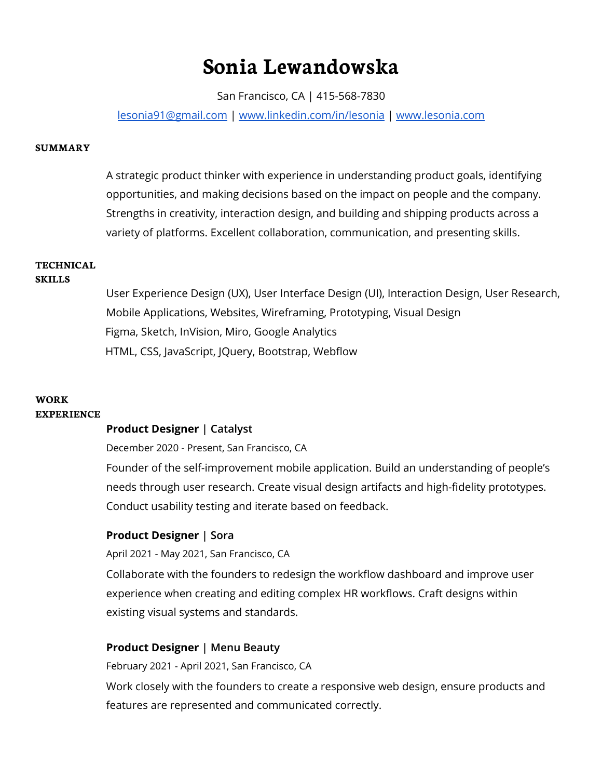# **Sonia Lewandowska**

San Francisco, CA | 415-568-7830

[lesonia91@gmail.com](mailto:lesonia91@gmail.com) | [www.linkedin.com/in/lesonia](http://www.linkedin.com/in/lesonia) | [www.lesonia.com](http://www.lesonia.com)

#### **SUMMARY**

A strategic product thinker with experience in understanding product goals, identifying opportunities, and making decisions based on the impact on people and the company. Strengths in creativity, interaction design, and building and shipping products across a variety of platforms. Excellent collaboration, communication, and presenting skills.

# **TECHNICAL**

#### **SKILLS**

User Experience Design (UX), User Interface Design (UI), Interaction Design, User Research, Mobile Applications, Websites, Wireframing, Prototyping, Visual Design Figma, Sketch, InVision, Miro, Google Analytics HTML, CSS, JavaScript, JQuery, Bootstrap, Webflow

#### **WORK EXPERIENCE**

### **Product Designer | Catalyst**

December 2020 - Present, San Francisco, CA

Founder of the self-improvement mobile application. Build an understanding of people's needs through user research. Create visual design artifacts and high-fidelity prototypes. Conduct usability testing and iterate based on feedback.

### **Product Designer | Sora**

April 2021 - May 2021, San Francisco, CA

Collaborate with the founders to redesign the workflow dashboard and improve user experience when creating and editing complex HR workflows. Craft designs within existing visual systems and standards.

### **Product Designer | Menu Beauty**

February 2021 - April 2021, San Francisco, CA

Work closely with the founders to create a responsive web design, ensure products and features are represented and communicated correctly.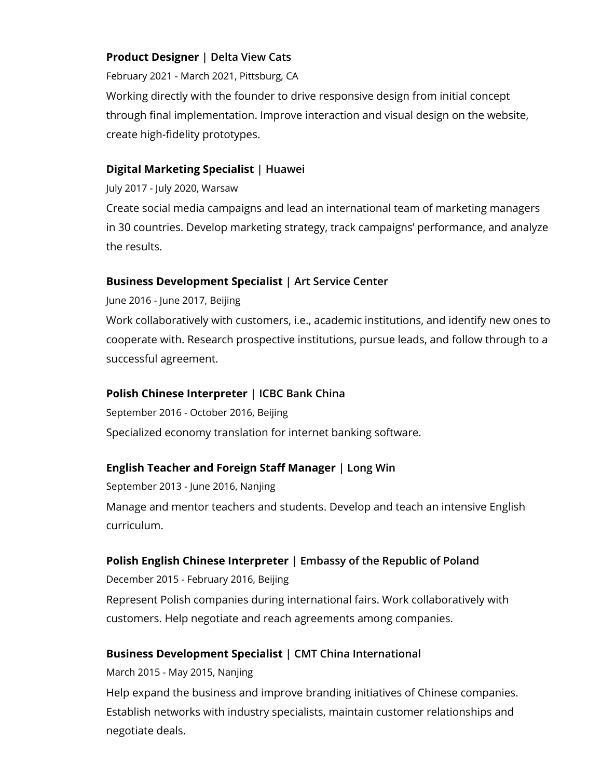# **Product Designer | Delta View Cats**

February 2021 - March 2021, Pittsburg, CA

Working directly with the founder to drive responsive design from initial concept through final implementation. Improve interaction and visual design on the website, create high-fidelity prototypes.

# **Digital Marketing Specialist | Huawei**

July 2017 - July 2020, Warsaw

Create social media campaigns and lead an international team of marketing managers in 30 countries. Develop marketing strategy, track campaigns' performance, and analyze the results.

# **Business Development Specialist | Art Service Center**

June 2016 - June 2017, Beijing

Work collaboratively with customers, i.e., academic institutions, and identify new ones to cooperate with. Research prospective institutions, pursue leads, and follow through to a successful agreement.

# **Polish Chinese Interpreter | ICBC Bank China**

September 2016 - October 2016, Beijing Specialized economy translation for internet banking software.

# **English Teacher and Foreign Staff Manager | Long Win**

September 2013 - June 2016, Nanjing Manage and mentor teachers and students. Develop and teach an intensive English curriculum.

# **Polish English Chinese Interpreter | Embassy of the Republic of Poland**

December 2015 - February 2016, Beijing Represent Polish companies during international fairs. Work collaboratively with customers. Help negotiate and reach agreements among companies.

# **Business Development Specialist | CMT China International**

March 2015 - May 2015, Nanjing

Help expand the business and improve branding initiatives of Chinese companies. Establish networks with industry specialists, maintain customer relationships and negotiate deals.